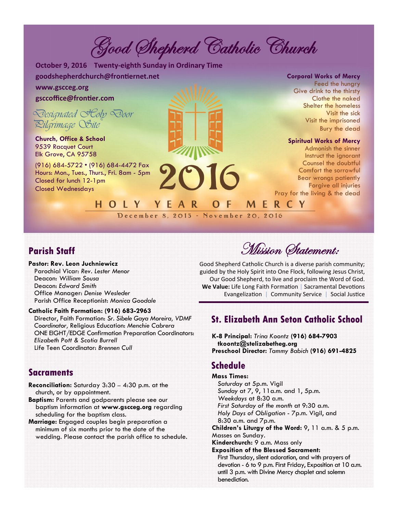Good Shepherd Catholic Church

**October 9, 2016 Twenty-eighth Sunday in Ordinary Time goodshepherdchurch@fronƟernet.net** 

HOLY YEAR

### **www.gscceg.org gsccoffice@fronƟer.com**

*Designated Holy Door Pilgrimage Site* 

**Church, Office & School**  9539 Racquet Court Elk Grove, CA 95758

(916) 684-5722 • (916) 684-4472 Fax Hours: Mon., Tues., Thurs., Fri. 8am - 5pm Closed for lunch 12-1pm Closed Wednesdays



December 8, 2015 - November 20, 2016

**Corporal Works of Mercy** 

Feed the hungry Give drink to the thirsty Clothe the naked Shelter the homeless Visit the sick Visit the imprisoned Bury the dead

#### **Spiritual Works of Mercy**

Admonish the sinner Instruct the ignorant Counsel the doubtful Comfort the sorrowful Bear wrongs patiently Forgive all injuries Pray for the living & the dead

### **Parish Staff**

**Pastor: Rev. Leon Juchniewicz**  Parochial Vicar: *Rev. Lester Menor* 

Deacon: *William Sousa*  Deacon: *Edward Smith*  Office Manager: *Denise Wesleder* Parish Office Receptionist: *Monica Goodale* 

#### **Catholic Faith Formation: (916) 683-2963**

Director, Faith Formation: *Sr. Sibele Gaya Moreira, VDMF Coordinator,* Religious Education: *Menchie Cabrera*  ONE EIGHT/EDGE Confirmation Preparation Coordinators: *Elizabeth Pott & Scotia Burrell*  Life Teen Coordinator: *Brennen Cull* 

### **Sacraments**

- **Reconciliation:** Saturday 3:30 4:30 p.m. at the church, or by appointment.
- **Baptism:** Parents and godparents please see our baptism information at **www.gscceg.org** regarding scheduling for the baptism class.
- **Marriage:** Engaged couples begin preparation a minimum of six months prior to the date of the wedding. Please contact the parish office to schedule.

Mission Statement:

Good Shepherd Catholic Church is a diverse parish community; guided by the Holy Spirit into One Flock, following Jesus Christ, Our Good Shepherd, to live and proclaim the Word of God. We Value: Life Long Faith Formation | Sacramental Devotions Evangelization | Community Service | Social Justice

MERCY

### **St. Elizabeth Ann Seton Catholic School**

**K-8 Principal:** *Trina Koontz* **(916) 684-7903 tkoontz@stelizabetheg.org Preschool Director:** *Tammy Babich* **(916) 691-4825** 

### **Schedule**

O F

**Mass Times:**  *Saturday* at 5p.m. Vigil *Sunday* at 7, 9, 11a.m. and 1, 5p.m. *Weekdays* at 8:30 a.m. *First Saturday of the month* at 9:30 a.m. *Holy Days of Obligation* - 7p.m. Vigil, and 8:30 a.m. and 7p.m. **Children's Liturgy of the Word:** 9, 11 a.m. & 5 p.m. Masses on Sunday. **Kinderchurch:** 9 a.m. Mass only **Exposition of the Blessed Sacrament:**  First Thursday, silent adoration, and with prayers of devotion - 6 to 9 p.m. First Friday, Exposition at 10 a.m. until 3 p.m. with Divine Mercy chaplet and solemn benediction.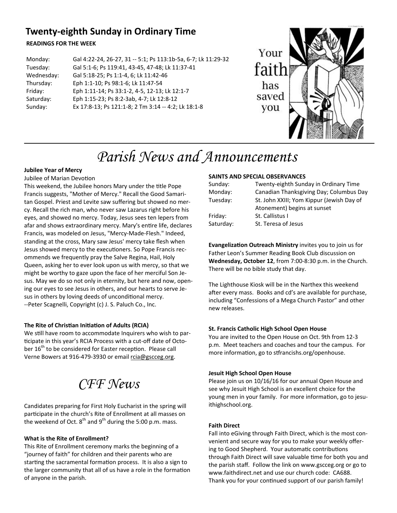## **Twenty-eighth Sunday in Ordinary Time**

#### **READINGS FOR THE WEEK**

| Monday:    | Gal 4:22-24, 26-27, 31 -- 5:1; Ps 113:1b-5a, 6-7; Lk 11:29-32 |
|------------|---------------------------------------------------------------|
| Tuesday:   | Gal 5:1-6; Ps 119:41, 43-45, 47-48; Lk 11:37-41               |
| Wednesday: | Gal 5:18-25; Ps 1:1-4, 6; Lk 11:42-46                         |
| Thursday:  | Eph 1:1-10; Ps 98:1-6; Lk 11:47-54                            |
| Friday:    | Eph 1:11-14; Ps 33:1-2, 4-5, 12-13; Lk 12:1-7                 |
| Saturday:  | Eph 1:15-23; Ps 8:2-3ab, 4-7; Lk 12:8-12                      |
| Sunday:    | Ex 17:8-13; Ps 121:1-8; 2 Tm 3:14 -- 4:2; Lk 18:1-8           |



# *Parish News and Announcements*

#### **Jubilee Year of Mercy** Jubilee of Marian Devotion

This weekend, the Jubilee honors Mary under the title Pope Francis suggests, "Mother of Mercy." Recall the Good Samaritan Gospel. Priest and Levite saw suffering but showed no mercy. Recall the rich man, who never saw Lazarus right before his eyes, and showed no mercy. Today, Jesus sees ten lepers from afar and shows extraordinary mercy. Mary's entire life, declares Francis, was modeled on Jesus, "Mercy-Made-Flesh." Indeed, standing at the cross, Mary saw Jesus' mercy take flesh when Jesus showed mercy to the executioners. So Pope Francis recommends we frequently pray the Salve Regina, Hail, Holy Queen, asking her to ever look upon us with mercy, so that we might be worthy to gaze upon the face of her merciful Son Jesus. May we do so not only in eternity, but here and now, opening our eyes to see Jesus in others, and our hearts to serve Jesus in others by loving deeds of unconditional mercy. --Peter Scagnelli, Copyright (c) J. S. Paluch Co., Inc.

#### **The Rite of ChrisƟan IniƟaƟon of Adults (RCIA)**

We still have room to accommodate Inquirers who wish to participate in this year's RCIA Process with a cut-off date of October 16<sup>th</sup> to be considered for Easter reception. Please call Verne Bowers at 916-479-3930 or email rcia@gscceg.org.

*CFF News* 

Candidates preparing for First Holy Eucharist in the spring will participate in the church's Rite of Enrollment at all masses on the weekend of Oct.  $8^{th}$  and  $9^{th}$  during the 5:00 p.m. mass.

#### **What is the Rite of Enrollment?**

This Rite of Enrollment ceremony marks the beginning of a "journey of faith" for children and their parents who are starting the sacramental formation process. It is also a sign to the larger community that all of us have a role in the formation of anyone in the parish.

#### **SAINTS AND SPECIAL OBSERVANCES**

| Sunday:   | Twenty-eighth Sunday in Ordinary Time     |
|-----------|-------------------------------------------|
| Monday:   | Canadian Thanksgiving Day; Columbus Day   |
| Tuesday:  | St. John XXIII; Yom Kippur (Jewish Day of |
|           | Atonement) begins at sunset               |
| Friday:   | St. Callistus I                           |
| Saturday: | St. Teresa of Jesus                       |
|           |                                           |

**EvangelizaƟon Outreach Ministry** invites you to join us for Father Leon's Summer Reading Book Club discussion on **Wednesday, October 12**, from 7:00-8:30 p.m. in the Church. There will be no bible study that day.

The Lighthouse Kiosk will be in the Narthex this weekend after every mass. Books and cd's are available for purchase, including "Confessions of a Mega Church Pastor" and other new releases.

#### **St. Francis Catholic High School Open House**

You are invited to the Open House on Oct. 9th from 12-3 p.m. Meet teachers and coaches and tour the campus. For more information, go to stfrancishs.org/openhouse.

#### **Jesuit High School Open House**

Please join us on 10/16/16 for our annual Open House and see why Jesuit High School is an excellent choice for the young men in your family. For more information, go to jesuithighschool.org.

#### **Faith Direct**

Fall into eGiving through Faith Direct, which is the most convenient and secure way for you to make your weekly offering to Good Shepherd. Your automatic contributions through Faith Direct will save valuable time for both you and the parish staff. Follow the link on www.gscceg.org or go to www.faithdirect.net and use our church code: CA688. Thank you for your continued support of our parish family!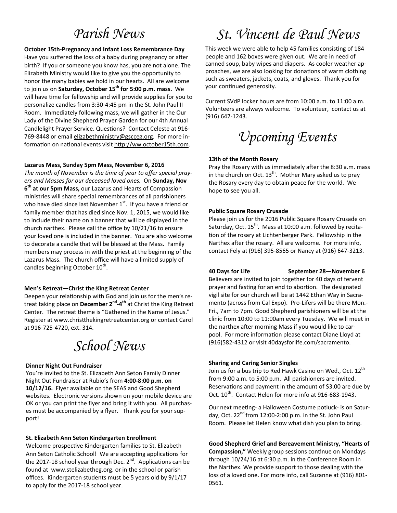## *Parish News*

#### **October 15th-Pregnancy and Infant Loss Remembrance Day**

Have you suffered the loss of a baby during pregnancy or after birth? If you or someone you know has, you are not alone. The Elizabeth Ministry would like to give you the opportunity to honor the many babies we hold in our hearts. All are welcome to join us on **Saturday, October 15th for 5:00 p.m. mass.** We will have time for fellowship and will provide supplies for you to personalize candles from 3:30-4:45 pm in the St. John Paul II Room. Immediately following mass, we will gather in the Our Lady of the Divine Shepherd Prayer Garden for our 4th Annual Candlelight Prayer Service. Questions? Contact Celeste at 916-769-8448 or email elizabethministry@gscceg.org. For more information on national events visit http://ww.october15th.com.

#### **Lazarus Mass, Sunday 5pm Mass, November 6, 2016**

The month of November is the time of year to offer special pray*ers and Masses for our deceased loved ones.* On **Sunday, Nov 6th at our 5pm Mass,** our Lazarus and Hearts of Compassion ministries will share special remembrances of all parishioners who have died since last November  $1<sup>st</sup>$ . If you have a friend or family member that has died since Nov. 1, 2015, we would like to include their name on a banner that will be displayed in the church narthex. Please call the office by 10/21/16 to ensure your loved one is included in the banner. You are also welcome to decorate a candle that will be blessed at the Mass. Family members may process in with the priest at the beginning of the Lazarus Mass. The church office will have a limited supply of candles beginning October  $10^{th}$ .

#### **Men's Retreat—Christ the King Retreat Center**

Deepen your relationship with God and join us for the men's retreat taking place on **December 2nd-4th** at Christ the King Retreat Center. The retreat theme is "Gathered in the Name of Jesus." Register at www.christthekingretreatcenter.org or contact Carol at 916-725-4720, ext. 314.

## *School News*

#### **Dinner Night Out Fundraiser**

You're invited to the St. Elizabeth Ann Seton Family Dinner Night Out Fundraiser at Rubio's from **4:00-8:00 p.m. on 10/12/16.** Flyer available on the SEAS and Good Shepherd websites. Electronic versions shown on your mobile device are OK or you can print the flyer and bring it with you. All purchases must be accompanied by a flyer. Thank you for your support!

#### **St. Elizabeth Ann Seton Kindergarten Enrollment**

Welcome prospective Kindergarten families to St. Elizabeth Ann Seton Catholic School! We are accepting applications for the 2017-18 school year through Dec.  $2^{nd}$ . Applications can be found at www.stelizabetheg.org. or in the school or parish offices. Kindergarten students must be 5 years old by 9/1/17 to apply for the 2017-18 school year.

# *St. Vincent de Paul News*

This week we were able to help 45 families consisting of 184 people and 162 boxes were given out. We are in need of canned soup, baby wipes and diapers. As cooler weather approaches, we are also looking for donations of warm clothing such as sweaters, jackets, coats, and gloves. Thank you for your continued generosity.

Current SVdP locker hours are from 10:00 a.m. to 11:00 a.m. Volunteers are always welcome. To volunteer, contact us at (916) 647-1243.

*Upcoming Events* 

#### **13th of the Month Rosary**

Pray the Rosary with us immediately after the 8:30 a.m. mass in the church on Oct.  $13<sup>th</sup>$ . Mother Mary asked us to pray the Rosary every day to obtain peace for the world. We hope to see you all.

#### **Public Square Rosary Crusade**

Please join us for the 2016 Public Square Rosary Crusade on Saturday, Oct.  $15^{th}$ . Mass at 10:00 a.m. followed by recitation of the rosary at Lichtenberger Park. Fellowship in the Narthex after the rosary. All are welcome. For more info, contact Fely at (916) 395-8565 or Nancy at (916) 647-3213.

**40 Days for Life September 28—November 6** Believers are invited to join together for 40 days of fervent prayer and fasting for an end to abortion. The designated vigil site for our church will be at 1442 Ethan Way in Sacramento (across from Cal Expo). Pro-Lifers will be there Mon.- Fri., 7am to 7pm. Good Shepherd parishioners will be at the clinic from 10:00 to 11:00am every Tuesday. We will meet in the narthex after morning Mass if you would like to carpool. For more information please contact Diane Lloyd at (916)582-4312 or visit 40daysforlife.com/sacramento.

#### **Sharing and Caring Senior Singles**

Join us for a bus trip to Red Hawk Casino on Wed., Oct. 12<sup>th</sup> from 9:00 a.m. to 5:00 p.m. All parishioners are invited. Reservations and payment in the amount of \$3.00 are due by Oct.  $10^{th}$ . Contact Helen for more info at 916-683-1943.

Our next meeting- a Halloween Costume potluck- is on Saturday, Oct.  $22^{nd}$  from 12:00-2:00 p.m. in the St. John Paul Room. Please let Helen know what dish you plan to bring.

**Good Shepherd Grief and Bereavement Ministry, "Hearts of Compassion,"** Weekly group sessions continue on Mondays through 10/24/16 at 6:30 p.m. in the Conference Room in the Narthex. We provide support to those dealing with the loss of a loved one. For more info, call Suzanne at (916) 801- 0561.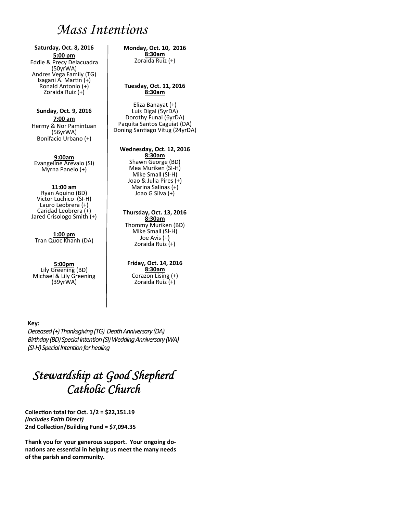## *Mass Intentions*

#### **Saturday, Oct. 8, 2016 5:00 pm**

Eddie & Precy Delacuadra (50yrWA) Andres Vega Family (TG) Isagani A. Martin (+) Ronald Antonio (+) Zoraida Ruiz (+)

#### **Sunday, Oct. 9, 2016 7:00 am**  Hermy & Nor Pamintuan (56yrWA) Bonifacio Urbano (+)

**9:00am** Evangeline Arevalo (SI) Myrna Panelo (+)

#### **11:00 am**

Ryan Aquino (BD) Victor Luchico (SI-H) Lauro Leobrera (+) Caridad Leobrera (+) Jared Crisologo Smith (+)

**1:00 pm**  Tran Quoc Khanh (DA)

#### **5:00pm**  Lily Greening (BD) Michael & Lily Greening (39yrWA)

#### **Monday, Oct. 10, 2016 8:30am**

Zoraida Ruiz (+)

#### **Tuesday, Oct. 11, 2016 8:30am**

Eliza Banayat (+) Luis Digal (5yrDA) Dorothy Funai (6yrDA) Paquita Santos Caguiat (DA) Doning Santiago Vitug (24yrDA)

#### **Wednesday, Oct. 12, 2016**

**8:30am**  Shawn George (BD) Mea Muriken (SI-H) Mike Small (SI-H) Joao & Julia Pires (+) Marina Salinas (+) Joao G Silva (+)

#### **Thursday, Oct. 13, 2016 8:30am**

Thommy Muriken (BD) Mike Small (SI-H) Joe Avis (+) Zoraida Ruiz (+)

#### **Friday, Oct. 14, 2016 8:30am**  Corazon Lising (+) Zoraida Ruiz (+)

#### **Key:**

*Deceased (+) Thanksgiving (TG) Death Anniversary (DA) Birthday (BD) Special Intention (SI) Wedding Anniversary (WA) (SI-H) Special Intention for healing*

## *Stewardship at Good Shepherd Catholic Church*

**CollecƟon total for Oct. 1/2 = \$22,151.19**  *(includes Faith Direct)*  **2nd CollecƟon/Building Fund = \$7,094.35** 

**Thank you for your generous support. Your ongoing donaƟons are essenƟal in helping us meet the many needs of the parish and community.**